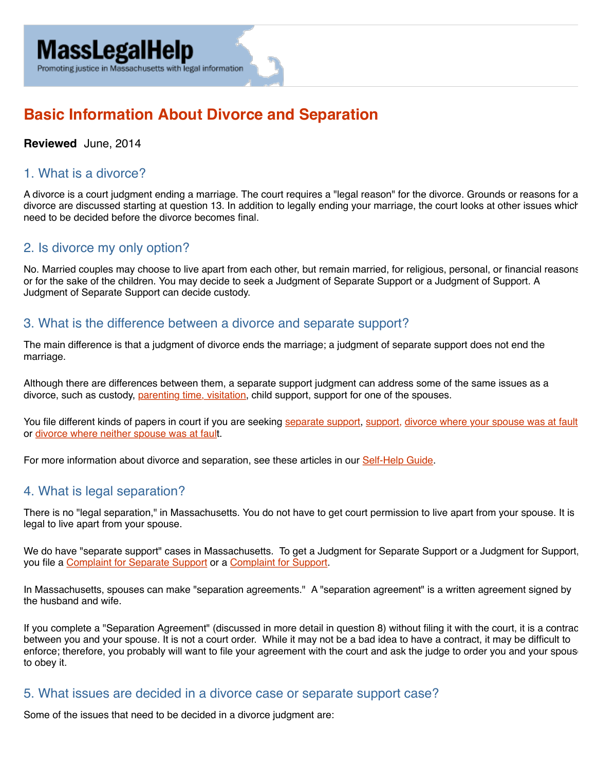#### Promoting justice in Massachusetts with legal information

# **Basic Information About Divorce and Separation**

#### **Reviewed** June, 2014

#### 1. What is a divorce?

A divorce is a court judgment ending a marriage. The court requires a "legal reason" for the divorce. Grounds or reasons for a divorce are discussed starting at question 13. In addition to legally ending your marriage, the court looks at other issues which need to be decided before the divorce becomes final.

# 2. Is divorce my only option?

No. Married couples may choose to live apart from each other, but remain married, for religious, personal, or financial reasons, or for the sake of the children. You may decide to seek a Judgment of Separate Support or a Judgment of Support. A Judgment of Separate Support can decide custody.

#### 3. What is the difference between a divorce and separate support?

The main difference is that a judgment of divorce ends the marriage; a judgment of separate support does not end the marriage.

Although there are differences between them, a separate support judgment can address some of the same issues as a divorce, such as custody, [parenting time, visitation,](https://www.masslegalhelp.org/children-and-families/custody/parenting-time-and-visitation) child support, support for one of the spouses.

You file different kinds of papers in court if you are seeking [separate support](https://www.mass.gov/courts/docs/forms/probate-and-family/cjd102.pdf), [support,](https://www.mass.gov/courts/docs/forms/probate-and-family/cjd107.pdf) divorce where your spouse was at fault or [divorce where neither spouse was at fault](https://www.mass.gov/courts/docs/forms/probate-and-family/cjd101b.pdf).

For more information about divorce and separation, see these articles in our [Self-Help Guide](https://www.masslegalhelp.org/domestic-violence/wdwgfh/chapter9-separation-and-divorce).

#### 4. What is legal separation?

There is no "legal separation," in Massachusetts. You do not have to get court permission to live apart from your spouse. It is legal to live apart from your spouse.

We do have "separate support" cases in Massachusetts. To get a Judgment for Separate Support or a Judgment for Support, you file a [Complaint for Separate Support](https://www.mass.gov/courts/docs/forms/probate-and-family/cjd102.pdf) or a [Complaint for Support](https://www.mass.gov/courts/docs/forms/probate-and-family/cjd107.pdf).

In Massachusetts, spouses can make "separation agreements." A "separation agreement" is a written agreement signed by the husband and wife.

If you complete a "Separation Agreement" (discussed in more detail in question 8) without filing it with the court, it is a contractionbetween you and your spouse. It is not a court order. While it may not be a bad idea to have a contract, it may be difficult to enforce; therefore, you probably will want to file your agreement with the court and ask the judge to order you and your spouse to obey it.

#### 5. What issues are decided in a divorce case or separate support case?

Some of the issues that need to be decided in a divorce judgment are: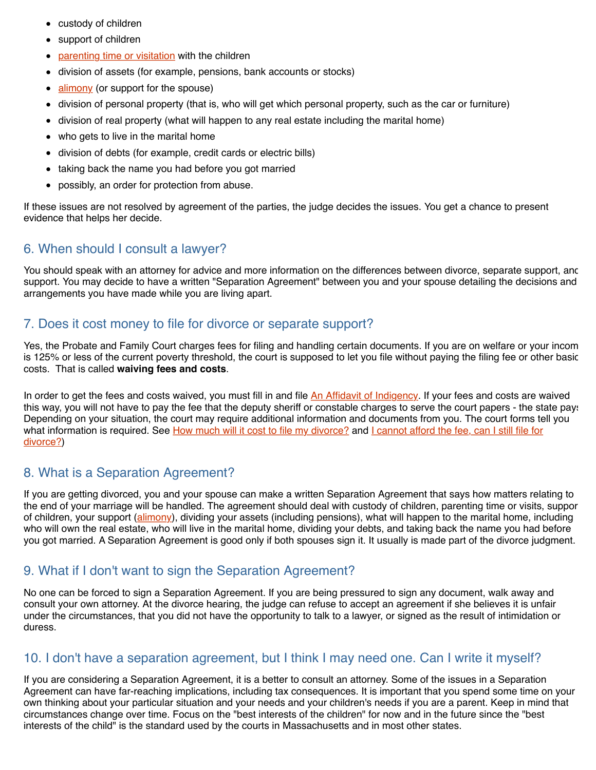- custody of children
- support of children  $\bullet$
- [parenting time or visitation](https://www.masslegalhelp.org/children-and-families/custody/parenting-time-and-visitation) with the children  $\bullet$
- division of assets (for example, pensions, bank accounts or stocks)
- [alimony](https://www.masslegalhelp.org/children-and-families/divorce/alimony) (or support for the spouse)  $\bullet$
- division of personal property (that is, who will get which personal property, such as the car or furniture)  $\bullet$
- division of real property (what will happen to any real estate including the marital home)  $\bullet$
- who gets to live in the marital home  $\bullet$
- division of debts (for example, credit cards or electric bills)
- taking back the name you had before you got married
- possibly, an order for protection from abuse.

If these issues are not resolved by agreement of the parties, the judge decides the issues. You get a chance to present evidence that helps her decide.

# 6. When should I consult a lawyer?

You should speak with an attorney for advice and more information on the differences between divorce, separate support, and support. You may decide to have a written "Separation Agreement" between you and your spouse detailing the decisions and arrangements you have made while you are living apart.

# 7. Does it cost money to file for divorce or separate support?

Yes, the Probate and Family Court charges fees for filing and handling certain documents. If you are on welfare or your income is 125% or less of the current poverty threshold, the court is supposed to let you file without paying the filing fee or other basic costs. That is called **waiving fees and costs**.

In order to get the fees and costs waived, you must fill in and file [An Affidavit of Indigency.](https://www.masslegalhelp.org/court/affidavit-of-indigency) If your fees and costs are waived this way, you will not have to pay the fee that the deputy sheriff or constable charges to serve the court papers - the state pays. Depending on your situation, the court may require additional information and documents from you. The court forms tell you [what information is required. See H](https://www.masslegalhelp.org/print/children-and-families/divorce-separation-basic-info#afford)[ow much will it cost to file my divorce?](https://www.masslegalhelp.org/print/children-and-families/divorce-separation-basic-info#howmuch) [and I cannot afford the fee, can I still file for](https://www.masslegalhelp.org/print/children-and-families/divorce-separation-basic-info#afford) divorce?)

# 8. What is a Separation Agreement?

If you are getting divorced, you and your spouse can make a written Separation Agreement that says how matters relating to the end of your marriage will be handled. The agreement should deal with custody of children, parenting time or visits, support of children, your support ([alimony](https://www.masslegalhelp.org/children-and-families/divorce/alimony)), dividing your assets (including pensions), what will happen to the marital home, including who will own the real estate, who will live in the marital home, dividing your debts, and taking back the name you had before you got married. A Separation Agreement is good only if both spouses sign it. It usually is made part of the divorce judgment.

# 9. What if I don't want to sign the Separation Agreement?

No one can be forced to sign a Separation Agreement. If you are being pressured to sign any document, walk away and consult your own attorney. At the divorce hearing, the judge can refuse to accept an agreement if she believes it is unfair under the circumstances, that you did not have the opportunity to talk to a lawyer, or signed as the result of intimidation or duress.

# 10. I don't have a separation agreement, but I think I may need one. Can I write it myself?

If you are considering a Separation Agreement, it is a better to consult an attorney. Some of the issues in a Separation Agreement can have far-reaching implications, including tax consequences. It is important that you spend some time on your own thinking about your particular situation and your needs and your children's needs if you are a parent. Keep in mind that circumstances change over time. Focus on the "best interests of the children" for now and in the future since the "best interests of the child" is the standard used by the courts in Massachusetts and in most other states.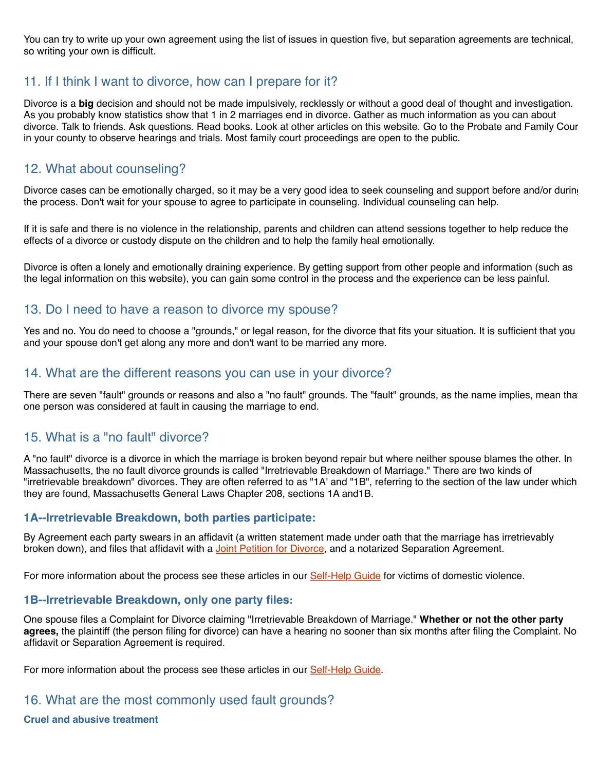You can try to write up your own agreement using the list of issues in question five, but separation agreements are technical, so writing your own is difficult.

# 11. If I think I want to divorce, how can I prepare for it?

Divorce is a **big** decision and should not be made impulsively, recklessly or without a good deal of thought and investigation. As you probably know statistics show that 1 in 2 marriages end in divorce. Gather as much information as you can about divorce. Talk to friends. Ask questions. Read books. Look at other articles on this website. Go to the Probate and Family Court in your county to observe hearings and trials. Most family court proceedings are open to the public.

### 12. What about counseling?

Divorce cases can be emotionally charged, so it may be a very good idea to seek counseling and support before and/or during the process. Don't wait for your spouse to agree to participate in counseling. Individual counseling can help.

If it is safe and there is no violence in the relationship, parents and children can attend sessions together to help reduce the effects of a divorce or custody dispute on the children and to help the family heal emotionally.

Divorce is often a lonely and emotionally draining experience. By getting support from other people and information (such as the legal information on this website), you can gain some control in the process and the experience can be less painful.

#### 13. Do I need to have a reason to divorce my spouse?

Yes and no. You do need to choose a "grounds," or legal reason, for the divorce that fits your situation. It is sufficient that you and your spouse don't get along any more and don't want to be married any more.

#### 14. What are the different reasons you can use in your divorce?

There are seven "fault" grounds or reasons and also a "no fault" grounds. The "fault" grounds, as the name implies, mean that one person was considered at fault in causing the marriage to end.

#### 15. What is a "no fault" divorce?

A "no fault" divorce is a divorce in which the marriage is broken beyond repair but where neither spouse blames the other. In Massachusetts, the no fault divorce grounds is called "Irretrievable Breakdown of Marriage." There are two kinds of "irretrievable breakdown" divorces. They are often referred to as "1A' and "1B", referring to the section of the law under which they are found, Massachusetts General Laws Chapter 208, sections 1A and1B.

#### **1A--Irretrievable Breakdown, both parties participate:**

By Agreement each party swears in an affidavit (a written statement made under oath that the marriage has irretrievably broken down), and files that affidavit with a [Joint Petition for Divorce](https://www.mass.gov/courts/docs/forms/probate-and-family/cjd101a.pdf), and a notarized Separation Agreement.

For more information about the process see these articles in our [Self-Help Guide](https://www.masslegalhelp.org/domestic-violence/chapter12-probate-and-family-court) for victims of domestic violence.

#### **1B--Irretrievable Breakdown, only one party files:**

One spouse files a Complaint for Divorce claiming "Irretrievable Breakdown of Marriage." **Whether or not the other party agrees,** the plaintiff (the person filing for divorce) can have a hearing no sooner than six months after filing the Complaint. No affidavit or Separation Agreement is required.

For more information about the process see these articles in our [Self-Help Guide](https://www.masslegalhelp.org/domestic-violence/chapter12-probate-and-family-court).

#### 16. What are the most commonly used fault grounds?

**Cruel and abusive treatment**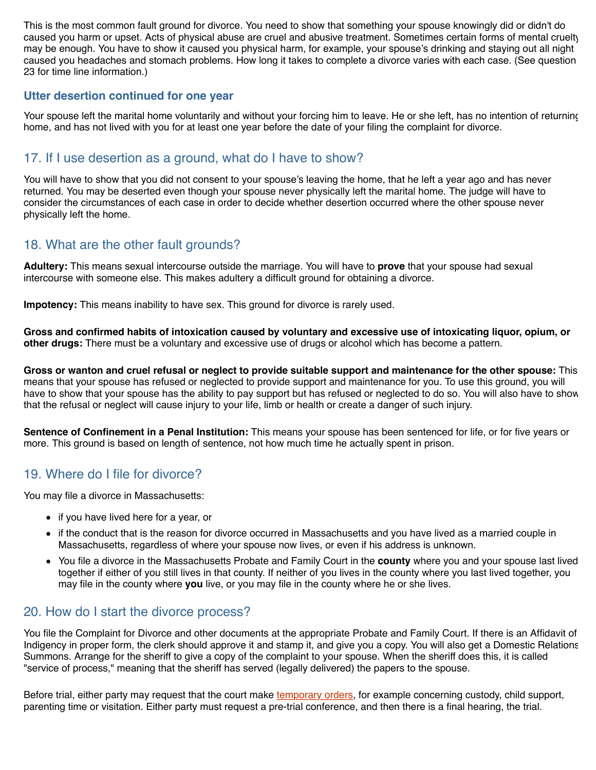This is the most common fault ground for divorce. You need to show that something your spouse knowingly did or didn't do caused you harm or upset. Acts of physical abuse are cruel and abusive treatment. Sometimes certain forms of mental cruelty may be enough. You have to show it caused you physical harm, for example, your spouse's drinking and staying out all night caused you headaches and stomach problems. How long it takes to complete a divorce varies with each case. (See question 23 for time line information.)

#### **Utter desertion continued for one year**

Your spouse left the marital home voluntarily and without your forcing him to leave. He or she left, has no intention of returning home, and has not lived with you for at least one year before the date of your filing the complaint for divorce.

#### 17. If I use desertion as a ground, what do I have to show?

You will have to show that you did not consent to your spouse's leaving the home, that he left a year ago and has never returned. You may be deserted even though your spouse never physically left the marital home. The judge will have to consider the circumstances of each case in order to decide whether desertion occurred where the other spouse never physically left the home.

# 18. What are the other fault grounds?

**Adultery:** This means sexual intercourse outside the marriage. You will have to **prove** that your spouse had sexual intercourse with someone else. This makes adultery a difficult ground for obtaining a divorce.

**Impotency:** This means inability to have sex. This ground for divorce is rarely used.

**Gross and confirmed habits of intoxication caused by voluntary and excessive use of intoxicating liquor, opium, or other drugs:** There must be a voluntary and excessive use of drugs or alcohol which has become a pattern.

**Gross or wanton and cruel refusal or neglect to provide suitable support and maintenance for the other spouse:** This means that your spouse has refused or neglected to provide support and maintenance for you. To use this ground, you will have to show that your spouse has the ability to pay support but has refused or neglected to do so. You will also have to show that the refusal or neglect will cause injury to your life, limb or health or create a danger of such injury.

**Sentence of Confinement in a Penal Institution:** This means your spouse has been sentenced for life, or for five years or more. This ground is based on length of sentence, not how much time he actually spent in prison.

#### 19. Where do I file for divorce?

You may file a divorce in Massachusetts:

- if you have lived here for a year, or
- if the conduct that is the reason for divorce occurred in Massachusetts and you have lived as a married couple in Massachusetts, regardless of where your spouse now lives, or even if his address is unknown.
- You file a divorce in the Massachusetts Probate and Family Court in the **county** where you and your spouse last lived together if either of you still lives in that county. If neither of you lives in the county where you last lived together, you may file in the county where **you** live, or you may file in the county where he or she lives.

#### 20. How do I start the divorce process?

You file the Complaint for Divorce and other documents at the appropriate Probate and Family Court. If there is an Affidavit of Indigency in proper form, the clerk should approve it and stamp it, and give you a copy. You will also get a Domestic Relations Summons. Arrange for the sheriff to give a copy of the complaint to your spouse. When the sheriff does this, it is called "service of process," meaning that the sheriff has served (legally delivered) the papers to the spouse.

Before trial, either party may request that the court make [temporary orders,](https://www.masslegalhelp.org/domestic-violence/wdwgfh12/need-court-order-right-away) for example concerning custody, child support, parenting time or visitation. Either party must request a pre-trial conference, and then there is a final hearing, the trial.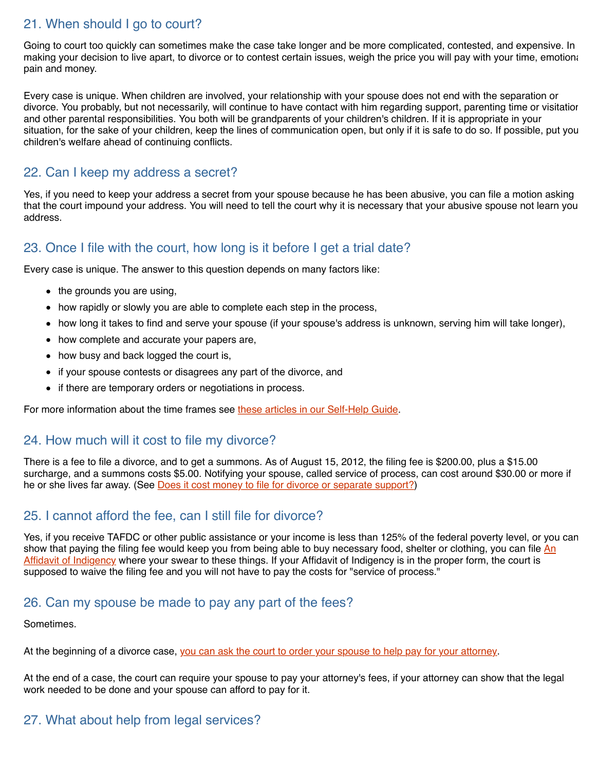# 21. When should I go to court?

Going to court too quickly can sometimes make the case take longer and be more complicated, contested, and expensive. In making your decision to live apart, to divorce or to contest certain issues, weigh the price you will pay with your time, emotional pain and money.

Every case is unique. When children are involved, your relationship with your spouse does not end with the separation or divorce. You probably, but not necessarily, will continue to have contact with him regarding support, parenting time or visitation, and other parental responsibilities. You both will be grandparents of your children's children. If it is appropriate in your situation, for the sake of your children, keep the lines of communication open, but only if it is safe to do so. If possible, put your children's welfare ahead of continuing conflicts.

### 22. Can I keep my address a secret?

Yes, if you need to keep your address a secret from your spouse because he has been abusive, you can file a motion asking that the court impound your address. You will need to tell the court why it is necessary that your abusive spouse not learn your address.

# 23. Once I file with the court, how long is it before I get a trial date?

Every case is unique. The answer to this question depends on many factors like:

- $\bullet$  the grounds you are using,
- how rapidly or slowly you are able to complete each step in the process,
- how long it takes to find and serve your spouse (if your spouse's address is unknown, serving him will take longer),
- how complete and accurate your papers are,
- how busy and back logged the court is,
- if your spouse contests or disagrees any part of the divorce, and
- if there are temporary orders or negotiations in process.

For more information about the time frames see [these articles in our Self-Help Guide](https://www.masslegalhelp.org/domestic-violence/chapter12-probate-and-family-court).

#### 24. How much will it cost to file my divorce?

There is a fee to file a divorce, and to get a summons. As of August 15, 2012, the filing fee is \$200.00, plus a \$15.00 surcharge, and a summons costs \$5.00. Notifying your spouse, called service of process, can cost around \$30.00 or more if he or she lives far away. (See [Does it cost money to file for divorce or separate support?](https://www.masslegalhelp.org/print/children-and-families/divorce-separation-basic-info#cost))

### 25. I cannot afford the fee, can I still file for divorce?

Yes, if you receive TAFDC or other public assistance or your income is less than 125% of the federal poverty level, or you can [show that paying the filing fee would keep you from being able to buy necessary food, shelter or clothing, you can file An](https://www.masslegalhelp.org/court/affidavit-of-indigency) Affidavit of Indigency where your swear to these things. If your Affidavit of Indigency is in the proper form, the court is supposed to waive the filing fee and you will not have to pay the costs for "service of process."

#### 26. Can my spouse be made to pay any part of the fees?

Sometimes.

At the beginning of a divorce case, [you can ask the court to order your spouse to help pay for your attorney.](https://www.masslegalhelp.org/children-and-families/divorce-attorney-fee)

At the end of a case, the court can require your spouse to pay your attorney's fees, if your attorney can show that the legal work needed to be done and your spouse can afford to pay for it.

# 27. What about help from legal services?